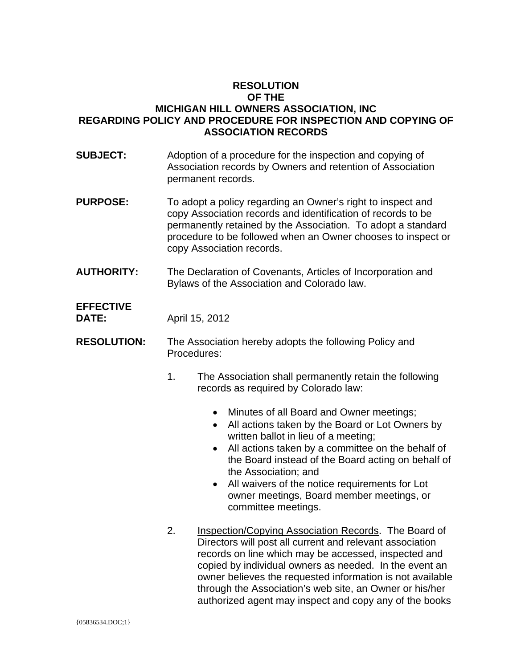### **RESOLUTION OF THE MICHIGAN HILL OWNERS ASSOCIATION, INC REGARDING POLICY AND PROCEDURE FOR INSPECTION AND COPYING OF ASSOCIATION RECORDS**

- **SUBJECT:** Adoption of a procedure for the inspection and copying of Association records by Owners and retention of Association permanent records.
- **PURPOSE:** To adopt a policy regarding an Owner's right to inspect and copy Association records and identification of records to be permanently retained by the Association. To adopt a standard procedure to be followed when an Owner chooses to inspect or copy Association records.
- **AUTHORITY:** The Declaration of Covenants, Articles of Incorporation and Bylaws of the Association and Colorado law.

## **EFFECTIVE**

**DATE:** April 15, 2012

- **RESOLUTION:** The Association hereby adopts the following Policy and Procedures:
	- 1. The Association shall permanently retain the following records as required by Colorado law:
		- Minutes of all Board and Owner meetings;
		- All actions taken by the Board or Lot Owners by written ballot in lieu of a meeting;
		- All actions taken by a committee on the behalf of the Board instead of the Board acting on behalf of the Association; and
		- All waivers of the notice requirements for Lot owner meetings, Board member meetings, or committee meetings.
	- 2. Inspection/Copying Association Records. The Board of Directors will post all current and relevant association records on line which may be accessed, inspected and copied by individual owners as needed. In the event an owner believes the requested information is not available through the Association's web site, an Owner or his/her authorized agent may inspect and copy any of the books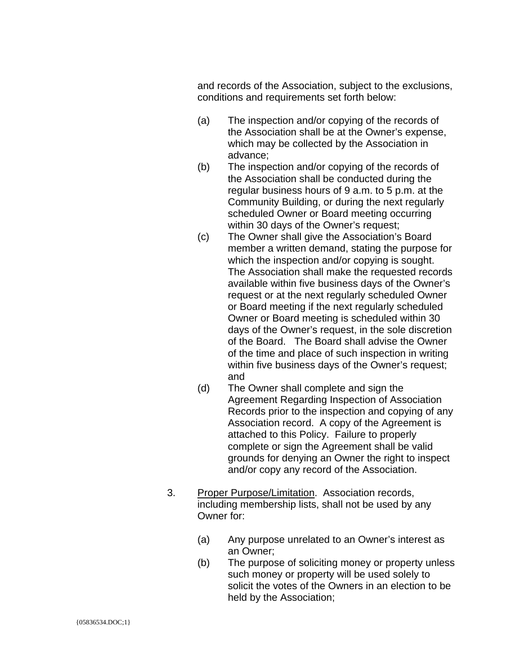and records of the Association, subject to the exclusions, conditions and requirements set forth below:

- (a) The inspection and/or copying of the records of the Association shall be at the Owner's expense, which may be collected by the Association in advance;
- (b) The inspection and/or copying of the records of the Association shall be conducted during the regular business hours of 9 a.m. to 5 p.m. at the Community Building, or during the next regularly scheduled Owner or Board meeting occurring within 30 days of the Owner's request;
- (c) The Owner shall give the Association's Board member a written demand, stating the purpose for which the inspection and/or copying is sought. The Association shall make the requested records available within five business days of the Owner's request or at the next regularly scheduled Owner or Board meeting if the next regularly scheduled Owner or Board meeting is scheduled within 30 days of the Owner's request, in the sole discretion of the Board. The Board shall advise the Owner of the time and place of such inspection in writing within five business days of the Owner's request; and
- (d) The Owner shall complete and sign the Agreement Regarding Inspection of Association Records prior to the inspection and copying of any Association record. A copy of the Agreement is attached to this Policy. Failure to properly complete or sign the Agreement shall be valid grounds for denying an Owner the right to inspect and/or copy any record of the Association.
- 3. Proper Purpose/Limitation. Association records, including membership lists, shall not be used by any Owner for:
	- (a) Any purpose unrelated to an Owner's interest as an Owner;
	- (b) The purpose of soliciting money or property unless such money or property will be used solely to solicit the votes of the Owners in an election to be held by the Association;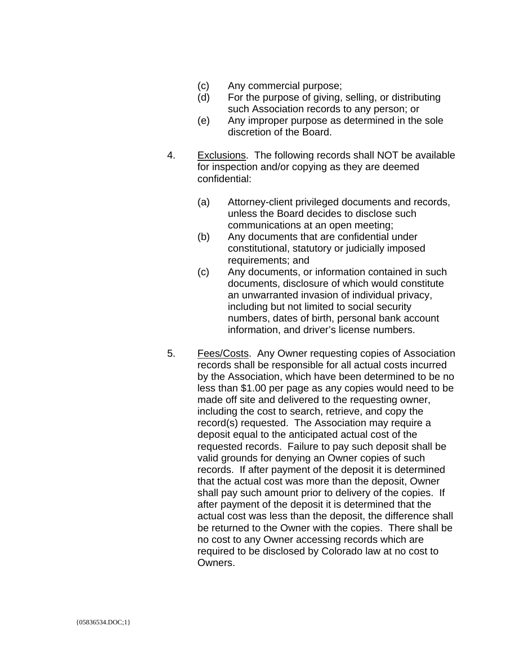- (c) Any commercial purpose;
- (d) For the purpose of giving, selling, or distributing such Association records to any person; or
- (e) Any improper purpose as determined in the sole discretion of the Board.
- 4. Exclusions. The following records shall NOT be available for inspection and/or copying as they are deemed confidential:
	- (a) Attorney-client privileged documents and records, unless the Board decides to disclose such communications at an open meeting;
	- (b) Any documents that are confidential under constitutional, statutory or judicially imposed requirements; and
	- (c) Any documents, or information contained in such documents, disclosure of which would constitute an unwarranted invasion of individual privacy, including but not limited to social security numbers, dates of birth, personal bank account information, and driver's license numbers.
- 5. Fees/Costs. Any Owner requesting copies of Association records shall be responsible for all actual costs incurred by the Association, which have been determined to be no less than \$1.00 per page as any copies would need to be made off site and delivered to the requesting owner, including the cost to search, retrieve, and copy the record(s) requested. The Association may require a deposit equal to the anticipated actual cost of the requested records. Failure to pay such deposit shall be valid grounds for denying an Owner copies of such records. If after payment of the deposit it is determined that the actual cost was more than the deposit, Owner shall pay such amount prior to delivery of the copies. If after payment of the deposit it is determined that the actual cost was less than the deposit, the difference shall be returned to the Owner with the copies. There shall be no cost to any Owner accessing records which are required to be disclosed by Colorado law at no cost to Owners.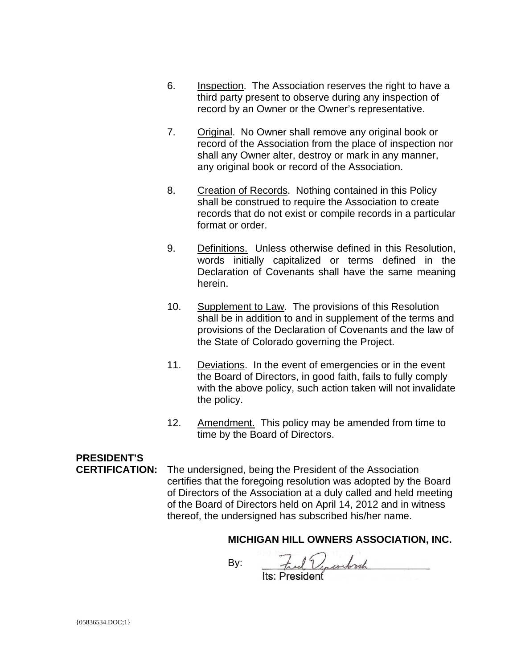- 6. Inspection. The Association reserves the right to have a third party present to observe during any inspection of record by an Owner or the Owner's representative.
- 7. Original. No Owner shall remove any original book or record of the Association from the place of inspection nor shall any Owner alter, destroy or mark in any manner, any original book or record of the Association.
- 8. Creation of Records. Nothing contained in this Policy shall be construed to require the Association to create records that do not exist or compile records in a particular format or order.
- 9. Definitions. Unless otherwise defined in this Resolution, words initially capitalized or terms defined in the Declaration of Covenants shall have the same meaning herein.
- 10. Supplement to Law. The provisions of this Resolution shall be in addition to and in supplement of the terms and provisions of the Declaration of Covenants and the law of the State of Colorado governing the Project.
- 11. Deviations. In the event of emergencies or in the event the Board of Directors, in good faith, fails to fully comply with the above policy, such action taken will not invalidate the policy.
- 12. Amendment. This policy may be amended from time to time by the Board of Directors.

# **PRESIDENT'S**

**CERTIFICATION:** The undersigned, being the President of the Association certifies that the foregoing resolution was adopted by the Board of Directors of the Association at a duly called and held meeting of the Board of Directors held on April 14, 2012 and in witness thereof, the undersigned has subscribed his/her name.

### **MICHIGAN HILL OWNERS ASSOCIATION, INC.**

 $By: \quad \frac{7}{115} \cdot \text{President}$ 

 ${05836534.DOC;1}$